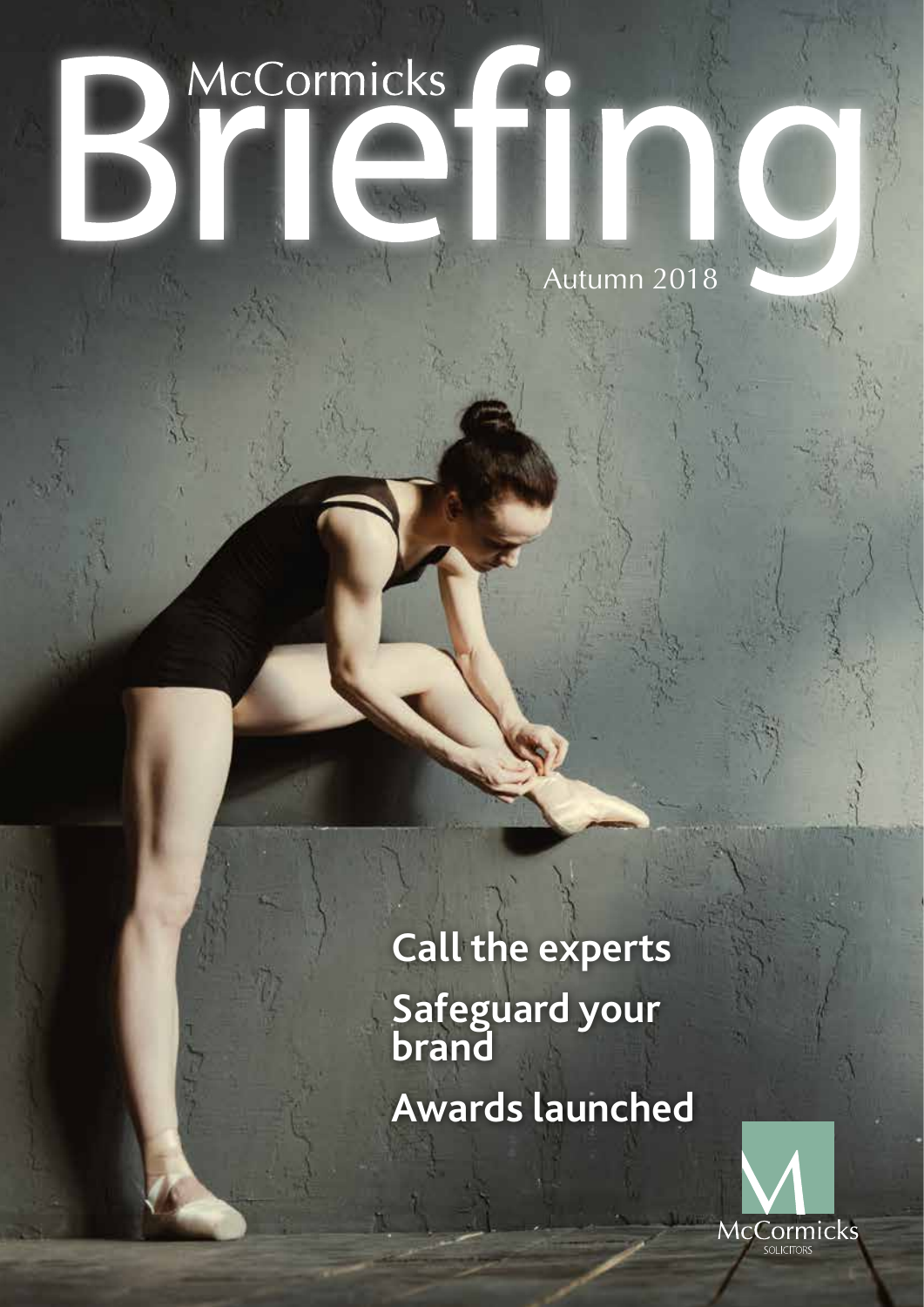# McCormicks

Autumn 2018

**Call the experts Safeguard your brand Awards launched**

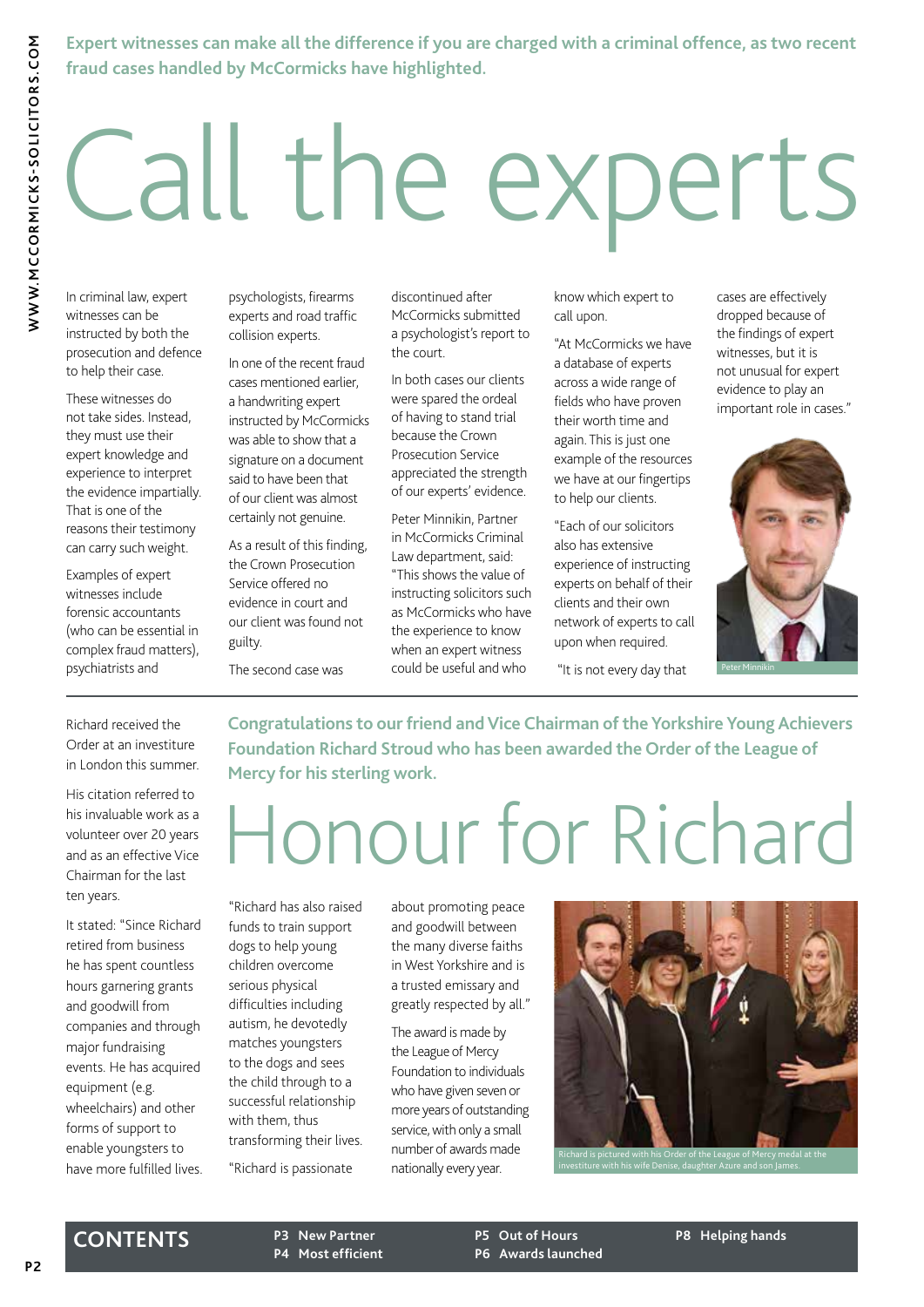# Call the experts

In criminal law, expert witnesses can be instructed by both the prosecution and defence to help their case.

These witnesses do not take sides. Instead, they must use their expert knowledge and experience to interpret the evidence impartially. That is one of the reasons their testimony can carry such weight.

Examples of expert witnesses include forensic accountants (who can be essential in complex fraud matters), psychiatrists and

psychologists, firearms experts and road traffic collision experts.

> In one of the recent fraud cases mentioned earlier, a handwriting expert instructed by McCormicks was able to show that a signature on a document said to have been that of our client was almost certainly not genuine.

As a result of this finding, the Crown Prosecution Service offered no evidence in court and our client was found not guilty.

The second case was

discontinued after McCormicks submitted a psychologist's report to the court.

In both cases our clients were spared the ordeal of having to stand trial because the Crown Prosecution Service appreciated the strength of our experts' evidence.

Peter Minnikin, Partner in McCormicks Criminal Law department, said: "This shows the value of instructing solicitors such as McCormicks who have the experience to know when an expert witness could be useful and who

know which expert to call upon.

"At McCormicks we have a database of experts across a wide range of fields who have proven their worth time and again. This is just one example of the resources we have at our fingertips to help our clients.

"Each of our solicitors also has extensive experience of instructing experts on behalf of their clients and their own network of experts to call upon when required.

"It is not every day that

cases are effectively dropped because of the findings of expert witnesses, but it is not unusual for expert evidence to play an important role in cases."



Richard received the Order at an investiture in London this summer.

His citation referred to his invaluable work as a volunteer over 20 years and as an effective Vice Chairman for the last ten years.

It stated: "Since Richard retired from business he has spent countless hours garnering grants and goodwill from companies and through major fundraising events. He has acquired equipment (e.g. wheelchairs) and other forms of support to enable youngsters to have more fulfilled lives. **Congratulations to our friend and Vice Chairman of the Yorkshire Young Achievers Foundation Richard Stroud who has been awarded the Order of the League of Mercy for his sterling work.**

## Honour for Richard

"Richard has also raised funds to train support dogs to help young children overcome serious physical difficulties including autism, he devotedly matches youngsters to the dogs and sees the child through to a successful relationship with them, thus transforming their lives.

"Richard is passionate

about promoting peace and goodwill between the many diverse faiths in West Yorkshire and is a trusted emissary and greatly respected by all."

The award is made by the League of Mercy Foundation to individuals who have given seven or more years of outstanding service, with only a small number of awards made nationally every year.

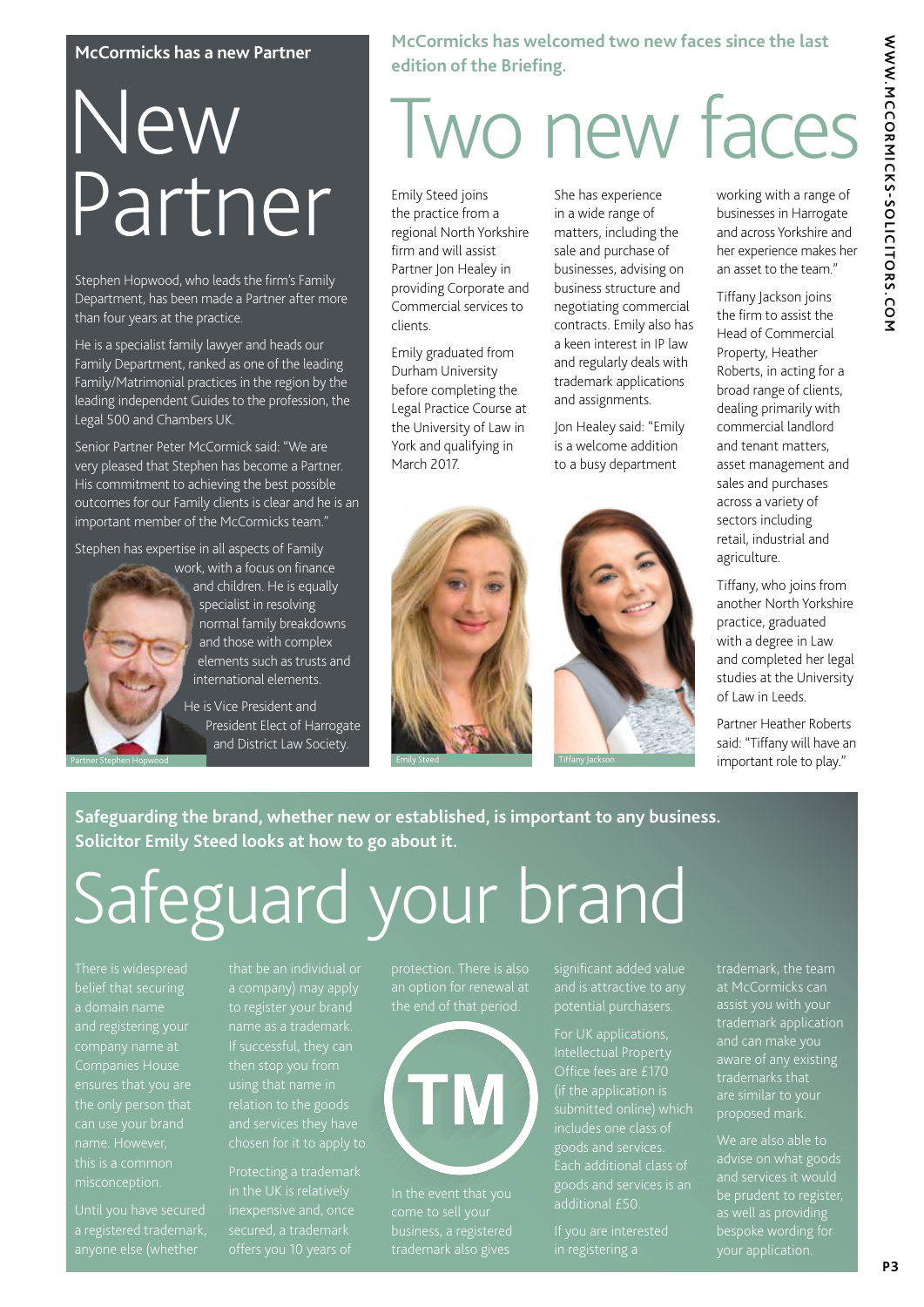# WWW.MCCORMICKS-SOLICITORS.COM **WWW.MCCORMICKS-SOLICITORS.COM**

#### **McCormicks has a new Partner**

## New Partner

Stephen Hopwood, who leads the firm's Family Department, has been made a Partner after more than four years at the practice.

He is a specialist family lawyer and heads our Family Department, ranked as one of the leading Family/Matrimonial practices in the region by the leading independent Guides to the profession, the Legal 500 and Chambers UK.

Senior Partner Peter McCormick said: "We are very pleased that Stephen has become a Partner. His commitment to achieving the best possible outcomes for our Family clients is clear and he is an important member of the McCormicks team."

Stephen has expertise in all aspects of Family



work, with a focus on finance and children. He is equally specialist in resolving normal family breakdowns and those with complex elements such as trusts and international elements.

> He is Vice President and President Elect of Harrogate and District Law Society.

**McCormicks has welcomed two new faces since the last edition of the Briefing.**

## Two new faces

Emily Steed joins the practice from a regional North Yorkshire firm and will assist Partner Jon Healey in providing Corporate and Commercial services to clients.

Emily graduated from Durham University before completing the Legal Practice Course at the University of Law in York and qualifying in March 2017.

She has experience in a wide range of matters, including the sale and purchase of businesses, advising on business structure and negotiating commercial contracts. Emily also has a keen interest in IP law and regularly deals with trademark applications and assignments.

Jon Healey said: "Emily is a welcome addition to a busy department



working with a range of businesses in Harrogate and across Yorkshire and her experience makes her an asset to the team."

Tiffany Jackson joins the firm to assist the Head of Commercial Property, Heather Roberts, in acting for a broad range of clients, dealing primarily with commercial landlord and tenant matters, asset management and sales and purchases across a variety of sectors including retail, industrial and agriculture.

Tiffany, who joins from another North Yorkshire practice, graduated with a degree in Law and completed her legal studies at the University of Law in Leeds.

Partner Heather Roberts said: "Tiffany will have an important role to play."

**Safeguarding the brand, whether new or established, is important to any business. Solicitor Emily Steed looks at how to go about it.**

## Safeguard your brand

a domain name and registering your ensures that you are

a registered trademark, anyone else (whether

to register your brand using that name in

Protecting a trademark in the UK is relatively inexpensive and, once offers you 10 years of



In the event that you trademark also gives

significant added value

For UK applications, Intellectual Property Office fees are £170 (if the application is includes one class of goods and services. Each additional class of additional £50.

in registering a

trademark, the team at McCormicks can trademark application and can make you aware of any existing trademarks that proposed mark.

We are also able to advise on what goods be prudent to register, as well as providing your application.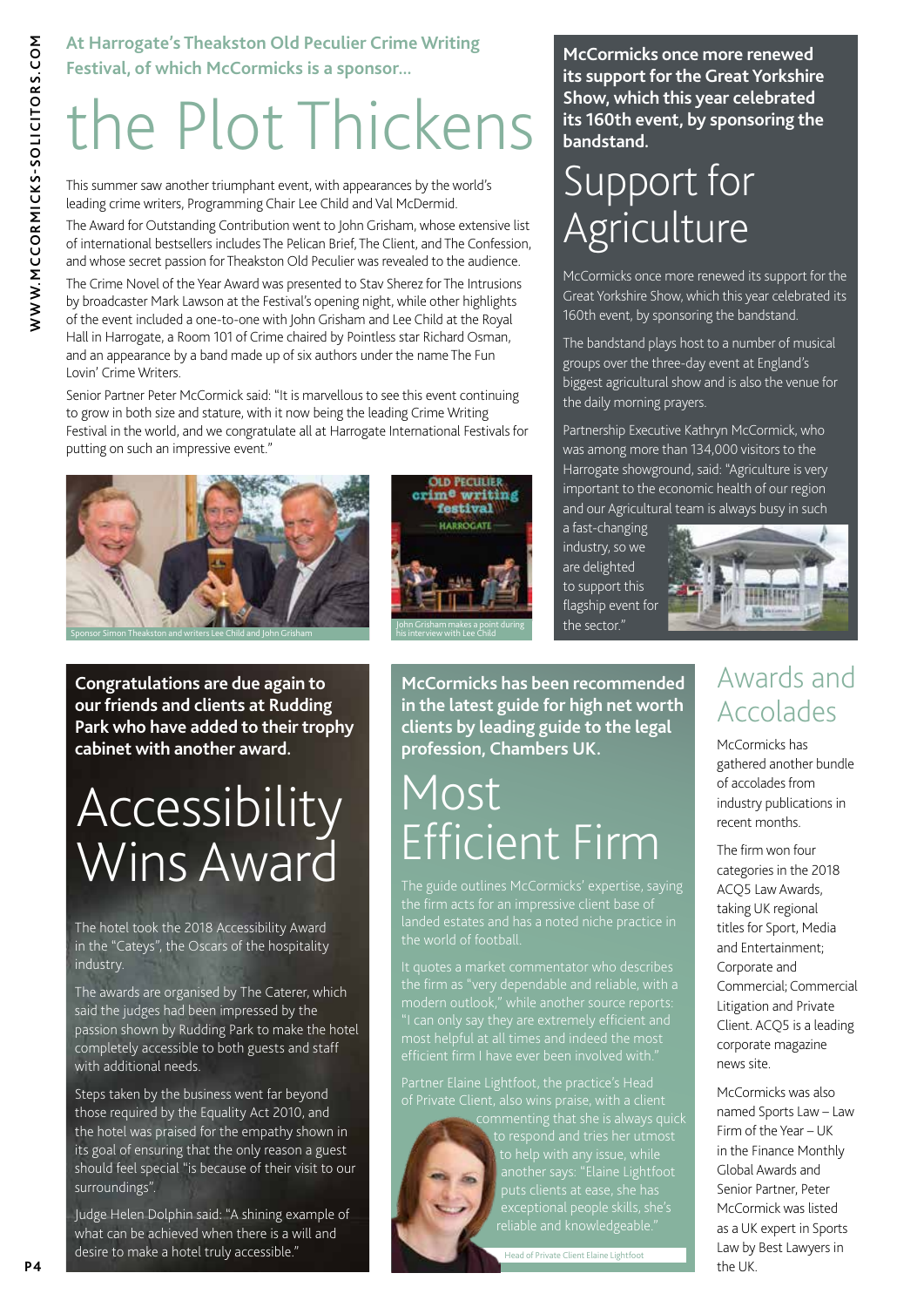#### **At Harrogate's Theakston Old Peculier Crime Writing Festival, of which McCormicks is a sponsor...**

## the Plot Thickens

This summer saw another triumphant event, with appearances by the world's leading crime writers, Programming Chair Lee Child and Val McDermid.

The Award for Outstanding Contribution went to John Grisham, whose extensive list of international bestsellers includes The Pelican Brief, The Client, and The Confession, and whose secret passion for Theakston Old Peculier was revealed to the audience.

The Crime Novel of the Year Award was presented to Stav Sherez for The Intrusions by broadcaster Mark Lawson at the Festival's opening night, while other highlights of the event included a one-to-one with John Grisham and Lee Child at the Royal Hall in Harrogate, a Room 101 of Crime chaired by Pointless star Richard Osman, and an appearance by a band made up of six authors under the name The Fun Lovin' Crime Writers.

Senior Partner Peter McCormick said: "It is marvellous to see this event continuing to grow in both size and stature, with it now being the leading Crime Writing Festival in the world, and we congratulate all at Harrogate International Festivals for putting on such an impressive event."





**Congratulations are due again to our friends and clients at Rudding Park who have added to their trophy cabinet with another award.**

### **Accessibility** Wins Award

The hotel took the 2018 Accessibility Award in the "Cateys", the Oscars of the hospitality industry.

The awards are organised by The Caterer, which said the judges had been impressed by the passion shown by Rudding Park to make the hotel completely accessible to both guests and staff with additional needs.

Steps taken by the business went far beyond those required by the Equality Act 2010, and the hotel was praised for the empathy shown in its goal of ensuring that the only reason a guest should feel special "is because of their visit to our surroundings".

**P4** desire to make a hotel truly accessible." Head of Private Client Elaine Lightfoot **P14** Judge Helen Dolphin said: "A shining example of what can be achieved when there is a will and

**McCormicks once more renewed its support for the Great Yorkshire Show, which this year celebrated its 160th event, by sponsoring the bandstand.**

### Support for Agriculture

McCormicks once more renewed its support for the Great Yorkshire Show, which this year celebrated its 160th event, by sponsoring the bandstand.

The bandstand plays host to a number of musical groups over the three-day event at England's biggest agricultural show and is also the venue for the daily morning prayers.

Partnership Executive Kathryn McCormick, who was among more than 134,000 visitors to the Harrogate showground, said: "Agriculture is very important to the economic health of our region and our Agricultural team is always busy in such

a fast-changing industry, so we are delighted to support this flagship event for the sector."



**McCormicks has been recommended in the latest guide for high net worth clients by leading guide to the legal profession, Chambers UK.**

### Most Efficient Firm

landed estates and has a noted niche practice in

commenting that she is always quick another says: "Elaine Lightfoot puts clients at ease, she has exceptional people skills, she's reliable and knowledgeable."

#### Awards and Accolades

McCormicks has gathered another bundle of accolades from industry publications in recent months.

The firm won four categories in the 2018 ACQ5 Law Awards, taking UK regional titles for Sport, Media and Entertainment; Corporate and Commercial; Commercial Litigation and Private Client. ACQ5 is a leading corporate magazine news site.

McCormicks was also named Sports Law – Law Firm of the Year – UK in the Finance Monthly Global Awards and Senior Partner, Peter McCormick was listed as a UK expert in Sports Law by Best Lawyers in the UK.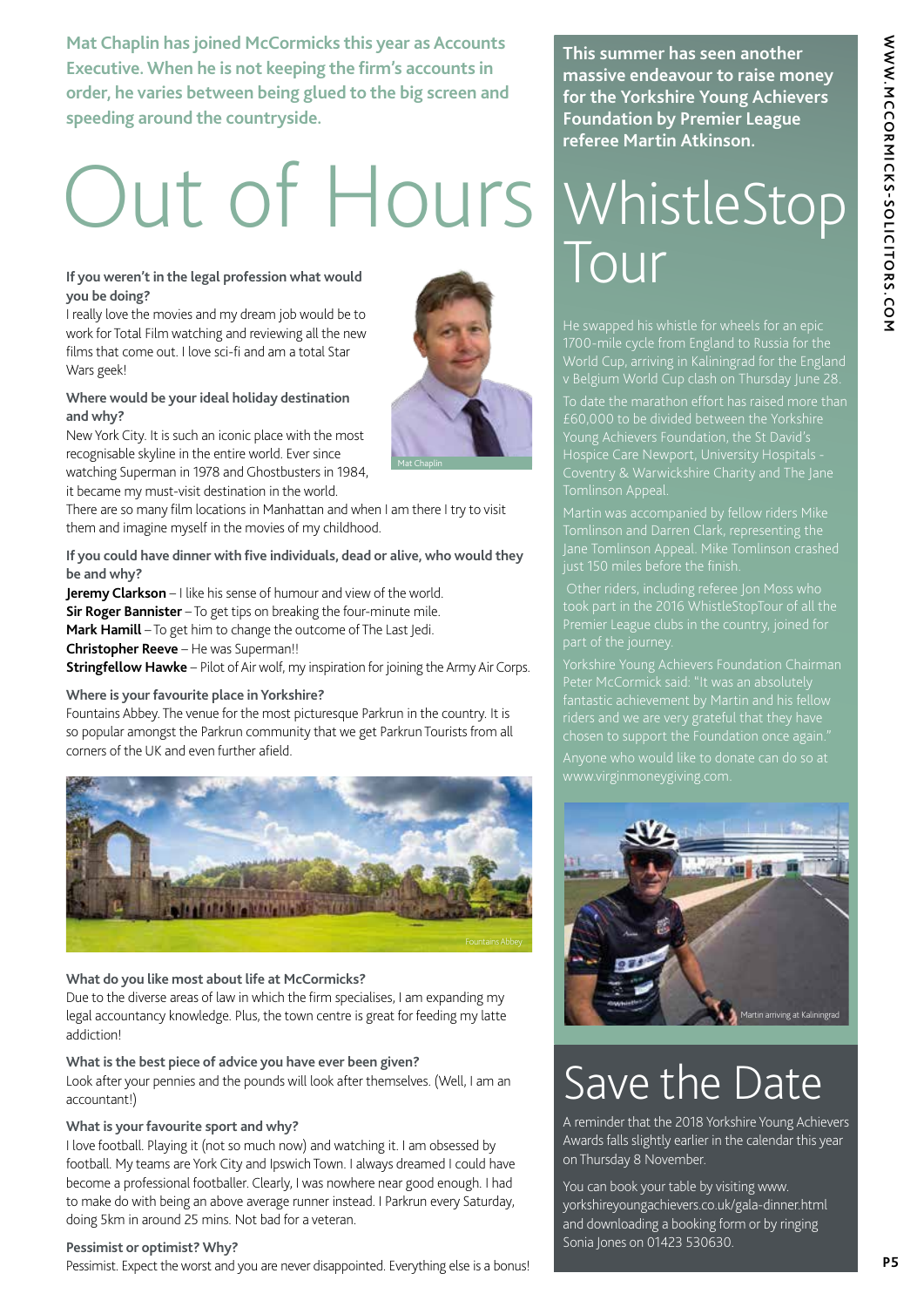**Mat Chaplin has joined McCormicks this year as Accounts Executive. When he is not keeping the firm's accounts in order, he varies between being glued to the big screen and speeding around the countryside.**

## Out of Hours WhistleStop

#### If you weren't in the legal profession what would **If you weren't in the legal profession what would you be doing?**

I really love the movies and my dream job would be to work for Total Film watching and reviewing all the new films that come out. I love sci-fi and am a total Star Wars geek!

#### **Where would be your ideal holiday destination and why?**

New York City. It is such an iconic place with the most recognisable skyline in the entire world. Ever since watching Superman in 1978 and Ghostbusters in 1984, it became my must-visit destination in the world.

There are so many film locations in Manhattan and when I am there I try to visit them and imagine myself in the movies of my childhood.

**If you could have dinner with five individuals, dead or alive, who would they be and why?**

**Jeremy Clarkson** – I like his sense of humour and view of the world. **Sir Roger Bannister** - To get tips on breaking the four-minute mile. **Mark Hamill** – To get him to change the outcome of The Last Jedi. **Christopher Reeve** – He was Superman!!

**Stringfellow Hawke** – Pilot of Air wolf, my inspiration for joining the Army Air Corps.

#### **Where is your favourite place in Yorkshire?**

Fountains Abbey. The venue for the most picturesque Parkrun in the country. It is so popular amongst the Parkrun community that we get Parkrun Tourists from all corners of the UK and even further afield.



#### **What do you like most about life at McCormicks?**

Due to the diverse areas of law in which the firm specialises, I am expanding my legal accountancy knowledge. Plus, the town centre is great for feeding my latte addiction!

#### **What is the best piece of advice you have ever been given?**

Look after your pennies and the pounds will look after themselves. (Well, I am an accountant!)

#### **What is your favourite sport and why?**

I love football. Playing it (not so much now) and watching it. I am obsessed by football. My teams are York City and Ipswich Town. I always dreamed I could have become a professional footballer. Clearly, I was nowhere near good enough. I had to make do with being an above average runner instead. I Parkrun every Saturday, doing 5km in around 25 mins. Not bad for a veteran.

#### **Pessimist or optimist? Why?**

Pessimist. Expect the worst and you are never disappointed. Everything else is a bonus!

**This summer has seen another massive endeavour to raise money for the Yorkshire Young Achievers Foundation by Premier League referee Martin Atkinson.**

He swapped his whistle for wheels for an epic 1700-mile cycle from England to Russia for the World Cup, arriving in Kaliningrad for the England v Belgium World Cup clash on Thursday June 28.

Tomlinson Appeal.

Jane Tomlinson Appeal. Mike Tomlinson crashed just 150 miles before the finish.

 Other riders, including referee Jon Moss who took part in the 2016 WhistleStopTour of all the Premier League clubs in the country, joined for part of the journey.



### Save the Date

A reminder that the 2018 Yorkshire Young Achievers Awards falls slightly earlier in the calendar this year on Thursday 8 November.

You can book your table by visiting www. yorkshireyoungachievers.co.uk/gala-dinner.html and downloading a booking form or by ringing Sonia Jones on 01423 530630.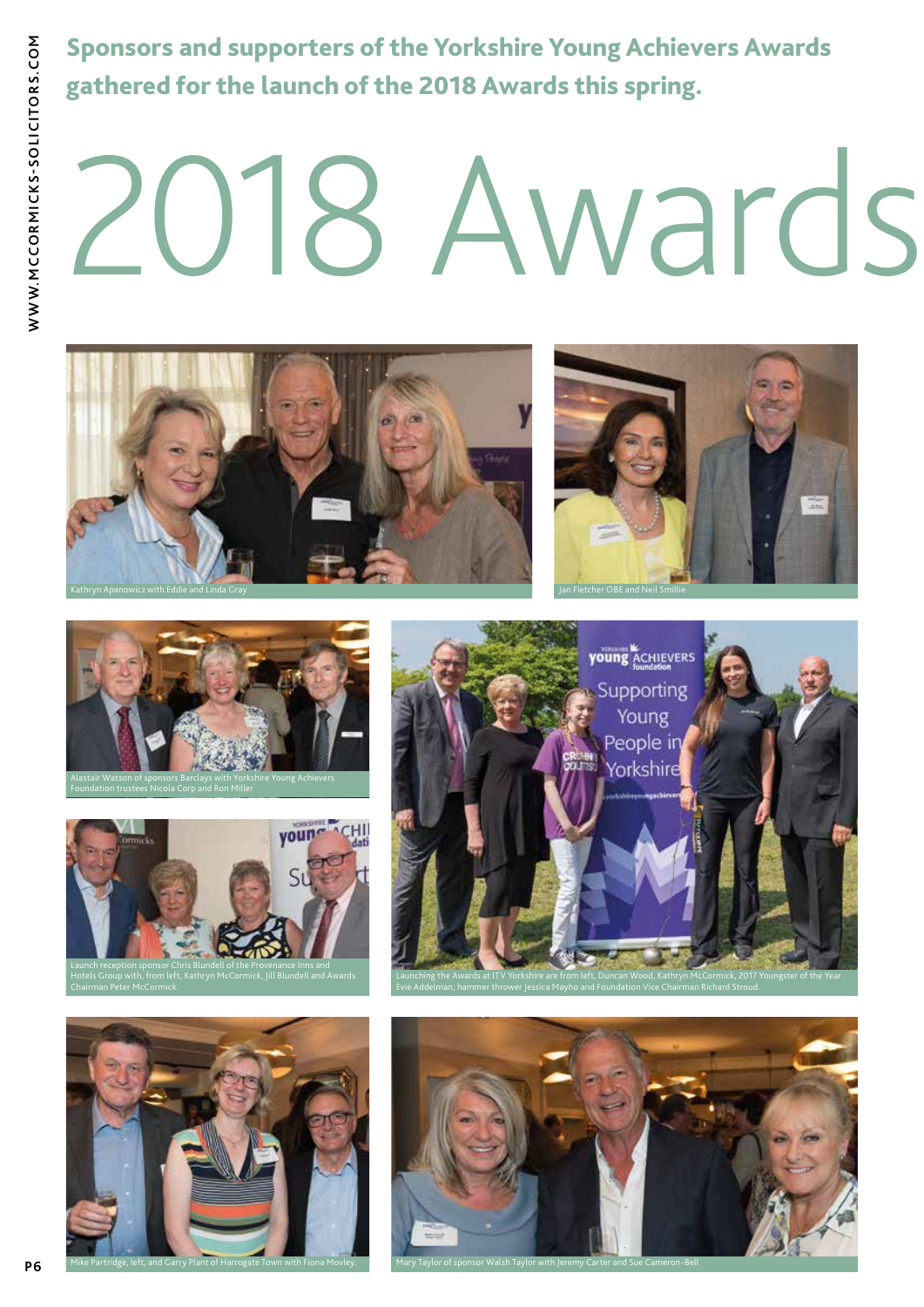Sponsors and supporters of the Yorkshire Young Achievers Awards gathered for the launch of the 2018 Awards this spring.

# 018 Awards













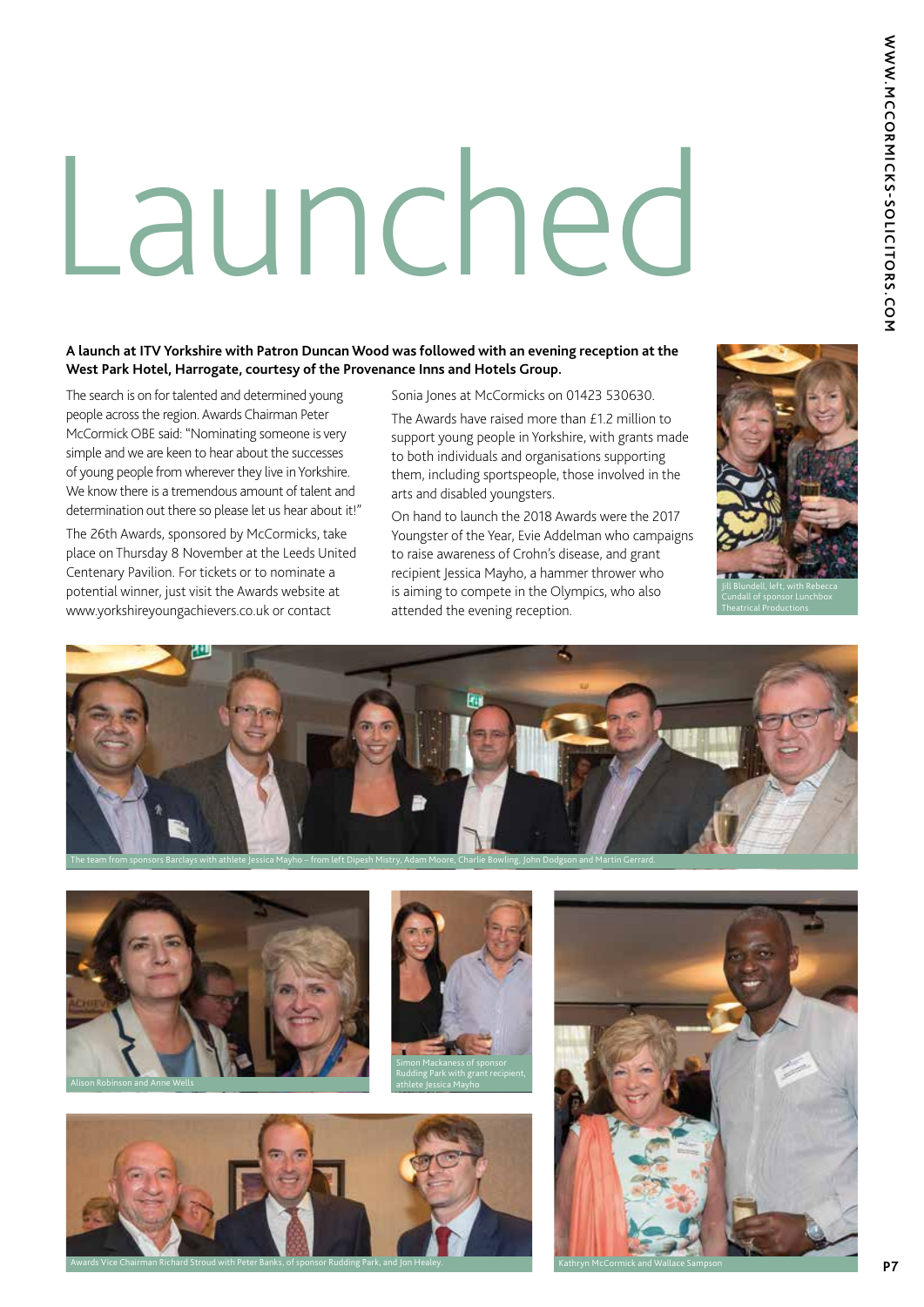# Launched

#### **A launch at ITV Yorkshire with Patron Duncan Wood was followed with an evening reception at the West Park Hotel, Harrogate, courtesy of the Provenance Inns and Hotels Group.**

The search is on for talented and determined young people across the region. Awards Chairman Peter McCormick OBE said: "Nominating someone is very simple and we are keen to hear about the successes of young people from wherever they live in Yorkshire. We know there is a tremendous amount of talent and determination out there so please let us hear about it!"

The 26th Awards, sponsored by McCormicks, take place on Thursday 8 November at the Leeds United Centenary Pavilion. For tickets or to nominate a potential winner, just visit the Awards website at www.yorkshireyoungachievers.co.uk or contact

Sonia Jones at McCormicks on 01423 530630.

The Awards have raised more than £1.2 million to support young people in Yorkshire, with grants made to both individuals and organisations supporting them, including sportspeople, those involved in the arts and disabled youngsters.

On hand to launch the 2018 Awards were the 2017 Youngster of the Year, Evie Addelman who campaigns to raise awareness of Crohn's disease, and grant recipient Jessica Mayho, a hammer thrower who is aiming to compete in the Olympics, who also attended the evening reception.











Awards Vice Chairman Richard Stroud with Peter Banks, of sponsor Rudding Park, and Jon Healey. Kathryn McCormick and Wallace Sampson